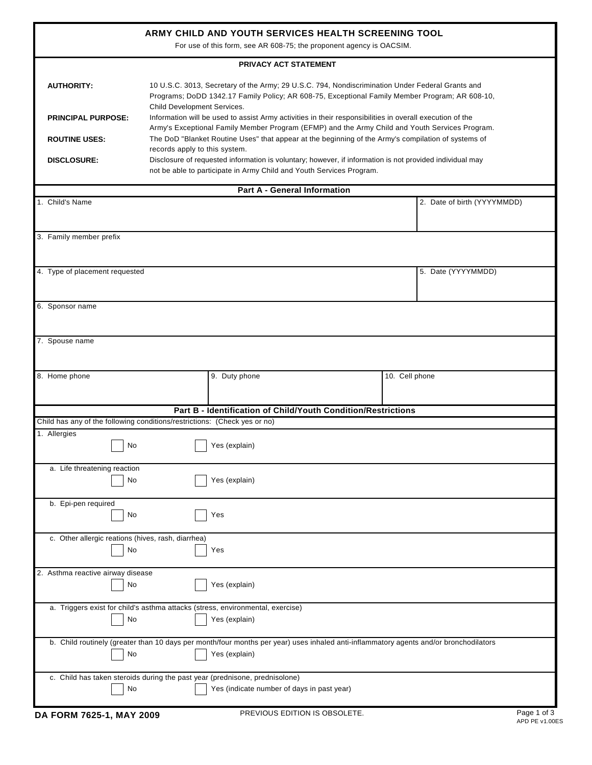| ARMY CHILD AND YOUTH SERVICES HEALTH SCREENING TOOL<br>For use of this form, see AR 608-75; the proponent agency is OACSIM.                                                                            |                                                                                                                                                                                                                                                                                                                                                                                                                                                 |                                                                                                     |  |                             |  |
|--------------------------------------------------------------------------------------------------------------------------------------------------------------------------------------------------------|-------------------------------------------------------------------------------------------------------------------------------------------------------------------------------------------------------------------------------------------------------------------------------------------------------------------------------------------------------------------------------------------------------------------------------------------------|-----------------------------------------------------------------------------------------------------|--|-----------------------------|--|
| PRIVACY ACT STATEMENT                                                                                                                                                                                  |                                                                                                                                                                                                                                                                                                                                                                                                                                                 |                                                                                                     |  |                             |  |
| <b>AUTHORITY:</b><br><b>PRINCIPAL PURPOSE:</b>                                                                                                                                                         | 10 U.S.C. 3013, Secretary of the Army; 29 U.S.C. 794, Nondiscrimination Under Federal Grants and<br>Programs; DoDD 1342.17 Family Policy; AR 608-75, Exceptional Family Member Program; AR 608-10,<br>Child Development Services.<br>Information will be used to assist Army activities in their responsibilities in overall execution of the<br>Army's Exceptional Family Member Program (EFMP) and the Army Child and Youth Services Program. |                                                                                                     |  |                             |  |
| <b>ROUTINE USES:</b>                                                                                                                                                                                   | records apply to this system.                                                                                                                                                                                                                                                                                                                                                                                                                   | The DoD "Blanket Routine Uses" that appear at the beginning of the Army's compilation of systems of |  |                             |  |
| Disclosure of requested information is voluntary; however, if information is not provided individual may<br><b>DISCLOSURE:</b><br>not be able to participate in Army Child and Youth Services Program. |                                                                                                                                                                                                                                                                                                                                                                                                                                                 |                                                                                                     |  |                             |  |
| <b>Part A - General Information</b>                                                                                                                                                                    |                                                                                                                                                                                                                                                                                                                                                                                                                                                 |                                                                                                     |  |                             |  |
| 1. Child's Name                                                                                                                                                                                        |                                                                                                                                                                                                                                                                                                                                                                                                                                                 |                                                                                                     |  | 2. Date of birth (YYYYMMDD) |  |
| 3. Family member prefix                                                                                                                                                                                |                                                                                                                                                                                                                                                                                                                                                                                                                                                 |                                                                                                     |  |                             |  |
| 4. Type of placement requested                                                                                                                                                                         |                                                                                                                                                                                                                                                                                                                                                                                                                                                 |                                                                                                     |  | 5. Date (YYYYMMDD)          |  |
| 6. Sponsor name                                                                                                                                                                                        |                                                                                                                                                                                                                                                                                                                                                                                                                                                 |                                                                                                     |  |                             |  |
| 7. Spouse name                                                                                                                                                                                         |                                                                                                                                                                                                                                                                                                                                                                                                                                                 |                                                                                                     |  |                             |  |
| 8. Home phone                                                                                                                                                                                          |                                                                                                                                                                                                                                                                                                                                                                                                                                                 | 9. Duty phone                                                                                       |  | 10. Cell phone              |  |
|                                                                                                                                                                                                        |                                                                                                                                                                                                                                                                                                                                                                                                                                                 | Part B - Identification of Child/Youth Condition/Restrictions                                       |  |                             |  |
| Child has any of the following conditions/restrictions: (Check yes or no)                                                                                                                              |                                                                                                                                                                                                                                                                                                                                                                                                                                                 |                                                                                                     |  |                             |  |
| 1. Allergies<br>No                                                                                                                                                                                     |                                                                                                                                                                                                                                                                                                                                                                                                                                                 | Yes (explain)                                                                                       |  |                             |  |
| a. Life threatening reaction<br>No                                                                                                                                                                     |                                                                                                                                                                                                                                                                                                                                                                                                                                                 | Yes (explain)                                                                                       |  |                             |  |
| b. Epi-pen required<br>No                                                                                                                                                                              |                                                                                                                                                                                                                                                                                                                                                                                                                                                 | Yes                                                                                                 |  |                             |  |
| c. Other allergic reations (hives, rash, diarrhea)<br>No                                                                                                                                               |                                                                                                                                                                                                                                                                                                                                                                                                                                                 | Yes                                                                                                 |  |                             |  |
| 2. Asthma reactive airway disease<br>No<br>Yes (explain)                                                                                                                                               |                                                                                                                                                                                                                                                                                                                                                                                                                                                 |                                                                                                     |  |                             |  |
| a. Triggers exist for child's asthma attacks (stress, environmental, exercise)<br>No<br>Yes (explain)                                                                                                  |                                                                                                                                                                                                                                                                                                                                                                                                                                                 |                                                                                                     |  |                             |  |
| b. Child routinely (greater than 10 days per month/four months per year) uses inhaled anti-inflammatory agents and/or bronchodilators<br>No<br>Yes (explain)                                           |                                                                                                                                                                                                                                                                                                                                                                                                                                                 |                                                                                                     |  |                             |  |
| c. Child has taken steroids during the past year (prednisone, prednisolone)<br>No<br>Yes (indicate number of days in past year)                                                                        |                                                                                                                                                                                                                                                                                                                                                                                                                                                 |                                                                                                     |  |                             |  |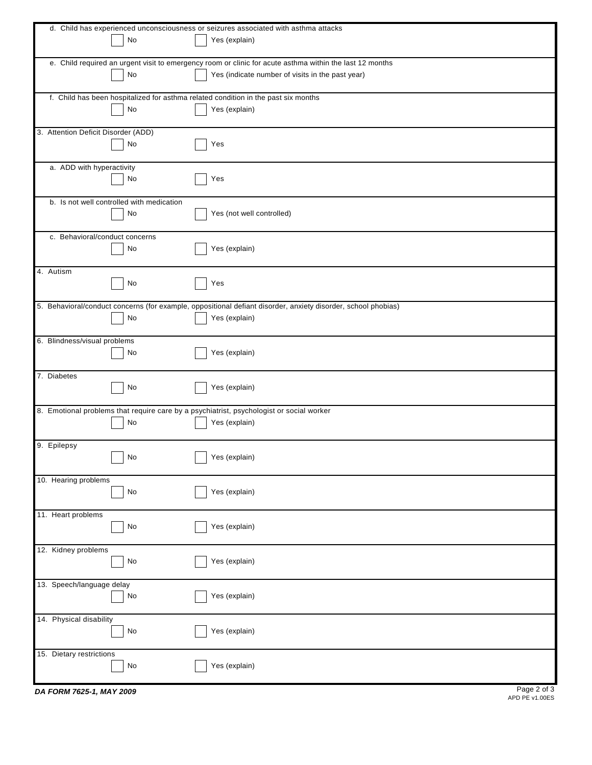|                                                                                          | d. Child has experienced unconsciousness or seizures associated with asthma attacks                           |
|------------------------------------------------------------------------------------------|---------------------------------------------------------------------------------------------------------------|
|                                                                                          |                                                                                                               |
| No                                                                                       | Yes (explain)                                                                                                 |
|                                                                                          |                                                                                                               |
|                                                                                          | e. Child required an urgent visit to emergency room or clinic for acute asthma within the last 12 months      |
| No                                                                                       | Yes (indicate number of visits in the past year)                                                              |
|                                                                                          |                                                                                                               |
| f. Child has been hospitalized for asthma related condition in the past six months       |                                                                                                               |
| No                                                                                       | Yes (explain)                                                                                                 |
|                                                                                          |                                                                                                               |
| 3. Attention Deficit Disorder (ADD)                                                      |                                                                                                               |
| No                                                                                       | Yes                                                                                                           |
|                                                                                          |                                                                                                               |
|                                                                                          |                                                                                                               |
| a. ADD with hyperactivity                                                                |                                                                                                               |
| No                                                                                       | Yes                                                                                                           |
|                                                                                          |                                                                                                               |
| b. Is not well controlled with medication                                                |                                                                                                               |
| No                                                                                       | Yes (not well controlled)                                                                                     |
|                                                                                          |                                                                                                               |
| c. Behavioral/conduct concerns                                                           |                                                                                                               |
|                                                                                          |                                                                                                               |
| No                                                                                       | Yes (explain)                                                                                                 |
|                                                                                          |                                                                                                               |
| 4. Autism                                                                                |                                                                                                               |
| No                                                                                       | Yes                                                                                                           |
|                                                                                          |                                                                                                               |
|                                                                                          | 5. Behavioral/conduct concerns (for example, oppositional defiant disorder, anxiety disorder, school phobias) |
| No                                                                                       | Yes (explain)                                                                                                 |
|                                                                                          |                                                                                                               |
|                                                                                          |                                                                                                               |
| 6. Blindness/visual problems                                                             |                                                                                                               |
| No                                                                                       | Yes (explain)                                                                                                 |
|                                                                                          |                                                                                                               |
| 7. Diabetes                                                                              |                                                                                                               |
| No                                                                                       | Yes (explain)                                                                                                 |
|                                                                                          |                                                                                                               |
|                                                                                          |                                                                                                               |
| 8. Emotional problems that require care by a psychiatrist, psychologist or social worker |                                                                                                               |
| No                                                                                       | Yes (explain)                                                                                                 |
|                                                                                          |                                                                                                               |
| 9. Epilepsy                                                                              |                                                                                                               |
| No                                                                                       | Yes (explain)                                                                                                 |
|                                                                                          |                                                                                                               |
| 10. Hearing problems                                                                     |                                                                                                               |
|                                                                                          | Yes (explain)                                                                                                 |
| $\operatorname{\mathsf{No}}$                                                             |                                                                                                               |
|                                                                                          |                                                                                                               |
| 11. Heart problems                                                                       |                                                                                                               |
| $\operatorname{\mathsf{No}}$                                                             | Yes (explain)                                                                                                 |
|                                                                                          |                                                                                                               |
| 12. Kidney problems                                                                      |                                                                                                               |
| $\operatorname{\mathsf{No}}$                                                             | Yes (explain)                                                                                                 |
|                                                                                          |                                                                                                               |
| 13. Speech/language delay                                                                |                                                                                                               |
|                                                                                          |                                                                                                               |
| No                                                                                       | Yes (explain)                                                                                                 |
|                                                                                          |                                                                                                               |
| 14. Physical disability                                                                  |                                                                                                               |
| $\operatorname{\mathsf{No}}$                                                             | Yes (explain)                                                                                                 |
|                                                                                          |                                                                                                               |
| 15. Dietary restrictions                                                                 |                                                                                                               |
| $\operatorname{\mathsf{No}}$                                                             | Yes (explain)                                                                                                 |
|                                                                                          |                                                                                                               |
|                                                                                          |                                                                                                               |

*DA FORM 7625-1, MAY 2009*